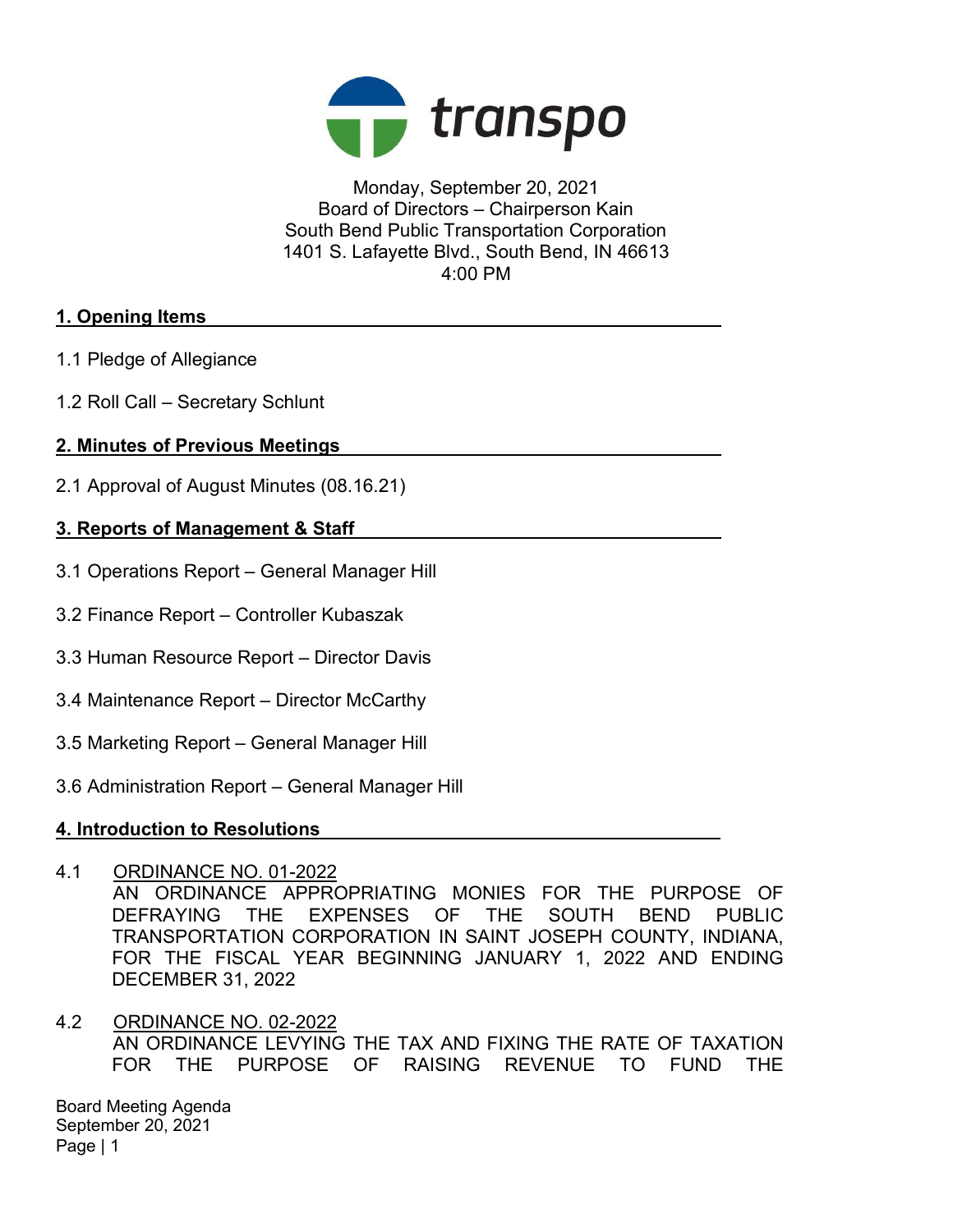

Monday, September 20, 2021 Board of Directors – Chairperson Kain South Bend Public Transportation Corporation 1401 S. Lafayette Blvd., South Bend, IN 46613 4:00 PM

# 1. Opening Items

- 1.1 Pledge of Allegiance
- 1.2 Roll Call Secretary Schlunt

# 2. Minutes of Previous Meetings

2.1 Approval of August Minutes (08.16.21)

# 3. Reports of Management & Staff

- 3.1 Operations Report General Manager Hill
- 3.2 Finance Report Controller Kubaszak
- 3.3 Human Resource Report Director Davis
- 3.4 Maintenance Report Director McCarthy
- 3.5 Marketing Report General Manager Hill
- 3.6 Administration Report General Manager Hill

## 4. Introduction to Resolutions

4.1 ORDINANCE NO. 01-2022

AN ORDINANCE APPROPRIATING MONIES FOR THE PURPOSE OF DEFRAYING THE EXPENSES OF THE SOUTH BEND PUBLIC TRANSPORTATION CORPORATION IN SAINT JOSEPH COUNTY, INDIANA, FOR THE FISCAL YEAR BEGINNING JANUARY 1, 2022 AND ENDING DECEMBER 31, 2022

4.2 ORDINANCE NO. 02-2022 AN ORDINANCE LEVYING THE TAX AND FIXING THE RATE OF TAXATION FOR THE PURPOSE OF RAISING REVENUE TO FUND THE

Board Meeting Agenda September 20, 2021 Page | 1